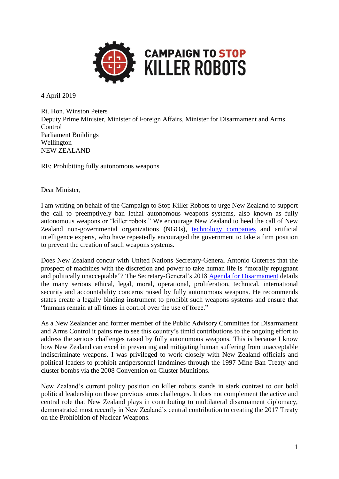

4 April 2019

Rt. Hon. Winston Peters Deputy Prime Minister, Minister of Foreign Affairs, Minister for Disarmament and Arms Control Parliament Buildings Wellington NEW ZEALAND

RE: Prohibiting fully autonomous weapons

Dear Minister,

I am writing on behalf of the Campaign to Stop Killer Robots to urge New Zealand to support the call to preemptively ban lethal autonomous weapons systems, also known as fully autonomous weapons or "killer robots." We encourage New Zealand to heed the call of New Zealand non-governmental organizations (NGOs), [technology companies](https://www.facebook.com/PeaceMovementAotearoa/posts/1442269795820385) and artificial intelligence experts, who have repeatedly encouraged the government to take a firm position to prevent the creation of such weapons systems.

Does New Zealand concur with United Nations Secretary-General António Guterres that the prospect of machines with the discretion and power to take human life is "morally repugnant and politically unacceptable"? The Secretary-General's 2018 [Agenda for Disarmament](https://www.stopkillerrobots.org/2018/08/unsg/) details the many serious ethical, legal, moral, operational, proliferation, technical, international security and accountability concerns raised by fully autonomous weapons. He recommends states create a legally binding instrument to prohibit such weapons systems and ensure that "humans remain at all times in control over the use of force."

As a New Zealander and former member of the Public Advisory Committee for Disarmament and Arms Control it pains me to see this country's timid contributions to the ongoing effort to address the serious challenges raised by fully autonomous weapons. This is because I know how New Zealand can excel in preventing and mitigating human suffering from unacceptable indiscriminate weapons. I was privileged to work closely with New Zealand officials and political leaders to prohibit antipersonnel landmines through the 1997 Mine Ban Treaty and cluster bombs via the 2008 Convention on Cluster Munitions.

New Zealand's current policy position on killer robots stands in stark contrast to our bold political leadership on those previous arms challenges. It does not complement the active and central role that New Zealand plays in contributing to multilateral disarmament diplomacy, demonstrated most recently in New Zealand's central contribution to creating the 2017 Treaty on the Prohibition of Nuclear Weapons.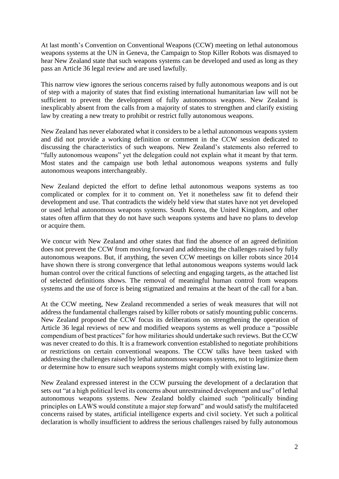At last month's Convention on Conventional Weapons (CCW) meeting on lethal autonomous weapons systems at the UN in Geneva, the Campaign to Stop Killer Robots was dismayed to hear New Zealand state that such weapons systems can be developed and used as long as they pass an Article 36 legal review and are used lawfully.

This narrow view ignores the serious concerns raised by fully autonomous weapons and is out of step with a majority of states that find existing international humanitarian law will not be sufficient to prevent the development of fully autonomous weapons. New Zealand is inexplicably absent from the calls from a majority of states to strengthen and clarify existing law by creating a new treaty to prohibit or restrict fully autonomous weapons.

New Zealand has never elaborated what it considers to be a lethal autonomous weapons system and did not provide a working definition or comment in the CCW session dedicated to discussing the characteristics of such weapons. New Zealand's statements also referred to "fully autonomous weapons" yet the delegation could not explain what it meant by that term. Most states and the campaign use both lethal autonomous weapons systems and fully autonomous weapons interchangeably.

New Zealand depicted the effort to define lethal autonomous weapons systems as too complicated or complex for it to comment on. Yet it nonetheless saw fit to defend their development and use. That contradicts the widely held view that states have not yet developed or used lethal autonomous weapons systems. South Korea, the United Kingdom, and other states often affirm that they do not have such weapons systems and have no plans to develop or acquire them.

We concur with New Zealand and other states that find the absence of an agreed definition does not prevent the CCW from moving forward and addressing the challenges raised by fully autonomous weapons. But, if anything, the seven CCW meetings on killer robots since 2014 have shown there is strong convergence that lethal autonomous weapons systems would lack human control over the critical functions of selecting and engaging targets, as the attached list of selected definitions shows. The removal of meaningful human control from weapons systems and the use of force is being stigmatized and remains at the heart of the call for a ban.

At the CCW meeting, New Zealand recommended a series of weak measures that will not address the fundamental challenges raised by killer robots or satisfy mounting public concerns. New Zealand proposed the CCW focus its deliberations on strengthening the operation of Article 36 legal reviews of new and modified weapons systems as well produce a "possible compendium of best practices" for how militaries should undertake such reviews. But the CCW was never created to do this. It is a framework convention established to negotiate prohibitions or restrictions on certain conventional weapons. The CCW talks have been tasked with addressing the challenges raised by lethal autonomous weapons systems, not to legitimize them or determine how to ensure such weapons systems might comply with existing law.

New Zealand expressed interest in the CCW pursuing the development of a declaration that sets out "at a high political level its concerns about unrestrained development and use" of lethal autonomous weapons systems. New Zealand boldly claimed such "politically binding principles on LAWS would constitute a major step forward" and would satisfy the multifaceted concerns raised by states, artificial intelligence experts and civil society. Yet such a political declaration is wholly insufficient to address the serious challenges raised by fully autonomous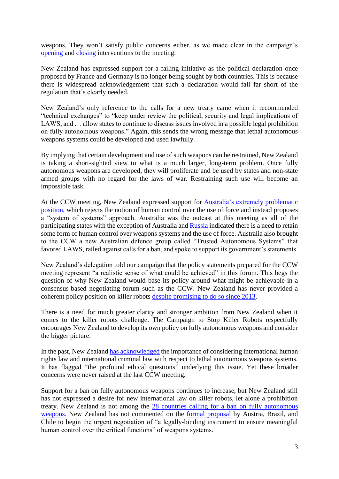weapons. They won't satisfy public concerns either, as we made clear in the campaign's [opening](https://www.stopkillerrobots.org/wp-content/uploads/2019/03/KRC_StmtCCW_27Mar2019_TODELIVER.pdf) and [closing](https://www.stopkillerrobots.org/wp-content/uploads/2019/04/KRC_Statement_29March_DELIVERED.pdf) interventions to the meeting.

New Zealand has expressed support for a failing initiative as the political declaration once proposed by France and Germany is no longer being sought by both countries. This is because there is widespread acknowledgement that such a declaration would fall far short of the regulation that's clearly needed.

New Zealand's only reference to the calls for a new treaty came when it recommended "technical exchanges" to "keep under review the political, security and legal implications of LAWS, and … allow states to continue to discuss issues involved in a possible legal prohibition on fully autonomous weapons." Again, this sends the wrong message that lethal autonomous weapons systems could be developed and used lawfully.

By implying that certain development and use of such weapons can be restrained, New Zealand is taking a short-sighted view to what is a much larger, long-term problem. Once fully autonomous weapons are developed, they will proliferate and be used by states and non-state armed groups with no regard for the laws of war. Restraining such use will become an impossible task.

At the CCW meeting, New Zealand expressed support for [Australia's extremely problematic](https://www.unog.ch/80256EDD006B8954/(httpAssets)/16C9F75124654510C12583C9003A4EBF/$file/CCWGGE.12019WP.2Rev.1.pdf)  [position,](https://www.unog.ch/80256EDD006B8954/(httpAssets)/16C9F75124654510C12583C9003A4EBF/$file/CCWGGE.12019WP.2Rev.1.pdf) which rejects the notion of human control over the use of force and instead proposes a "system of systems" approach. Australia was the outcast at this meeting as all of the participating states with the exception of Australia and [Russia](https://www.unog.ch/80256EDD006B8954/(httpAssets)/B7C992A51A9FC8BFC12583BB00637BB9/$file/CCW.GGE.1.2019.WP.1_R+E.pdf) indicated there is a need to retain some form of human control over weapons systems and the use of force. Australia also brought to the CCW a new Australian defence group called "Trusted Autonomous Systems" that favored LAWS, railed against calls for a ban, and spoke to support its government's statements.

New Zealand's delegation told our campaign that the policy statements prepared for the CCW meeting represent "a realistic sense of what could be achieved" in this forum. This begs the question of why New Zealand would base its policy around what might be achievable in a consensus-based negotiating forum such as the CCW. New Zealand has never provided a coherent policy position on killer robots [despite promising to do so since 2013.](http://www.converge.org.nz/pma/killer-robots-nz12072013.pdf)

There is a need for much greater clarity and stronger ambition from New Zealand when it comes to the killer robots challenge. The Campaign to Stop Killer Robots respectfully encourages New Zealand to develop its own policy on fully autonomous weapons and consider the bigger picture.

In the past, New Zealan[d has acknowledged](http://www.converge.org.nz/pma/nz-ccw310816.pdf) the importance of considering international human rights law and international criminal law with respect to lethal autonomous weapons systems. It has flagged "the profound ethical questions" underlying this issue. Yet these broader concerns were never raised at the last CCW meeting.

Support for a ban on fully autonomous weapons continues to increase, but New Zealand still has not expressed a desire for new international law on killer robots, let alone a prohibition treaty. New Zealand is not among the 28 countries calling for a [ban on fully autonomous](https://www.stopkillerrobots.org/wp-content/uploads/2018/11/KRC_CountryViews22Nov2018.pdf)  [weapons.](https://www.stopkillerrobots.org/wp-content/uploads/2018/11/KRC_CountryViews22Nov2018.pdf) New Zealand has not commented on the [formal proposal](https://www.unog.ch/80256EDD006B8954/(httpAssets)/3BDD5F681113EECEC12582FE0038B22F/$file/2018_GGE+LAWS_August_Working+paper_Austria_Brazil_Chile.pdf) by Austria, Brazil, and Chile to begin the urgent negotiation of "a legally-binding instrument to ensure meaningful human control over the critical functions" of weapons systems.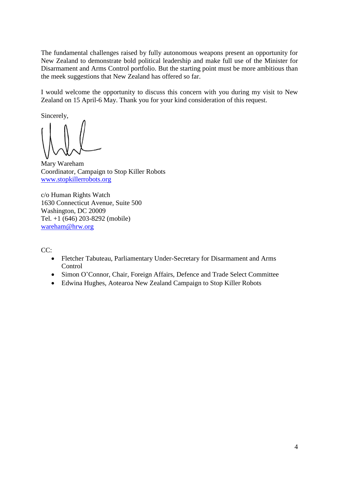The fundamental challenges raised by fully autonomous weapons present an opportunity for New Zealand to demonstrate bold political leadership and make full use of the Minister for Disarmament and Arms Control portfolio. But the starting point must be more ambitious than the meek suggestions that New Zealand has offered so far.

I would welcome the opportunity to discuss this concern with you during my visit to New Zealand on 15 April-6 May. Thank you for your kind consideration of this request.

Sincerely,

Mary Wareham Coordinator, Campaign to Stop Killer Robots [www.stopkillerrobots.org](http://www.stopkillerrobots.org/)

c/o Human Rights Watch 1630 Connecticut Avenue, Suite 500 Washington, DC 20009 Tel. +1 (646) 203-8292 (mobile) [wareham@hrw.org](mailto:wareham@hrw.org)

CC:

- Fletcher Tabuteau, Parliamentary Under-Secretary for Disarmament and Arms **Control**
- Simon O'Connor, Chair, Foreign Affairs, Defence and Trade Select Committee
- Edwina Hughes, Aotearoa New Zealand Campaign to Stop Killer Robots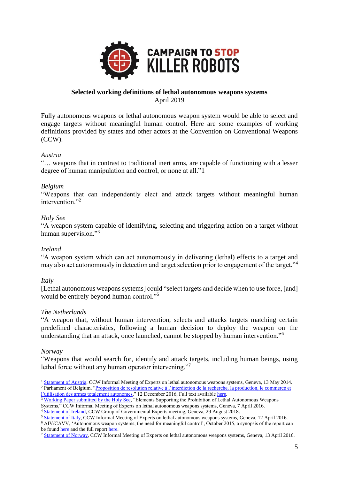

# **Selected working definitions of lethal autonomous weapons systems** April 2019

Fully autonomous weapons or lethal autonomous weapon system would be able to select and engage targets without meaningful human control. Here are some examples of working definitions provided by states and other actors at the Convention on Conventional Weapons (CCW).

## *Austria*

"… weapons that in contrast to traditional inert arms, are capable of functioning with a lesser degree of human manipulation and control, or none at all."1

## *Belgium*

"Weapons that can independently elect and attack targets without meaningful human intervention."<sup>2</sup>

## *Holy See*

"A weapon system capable of identifying, selecting and triggering action on a target without human supervision."<sup>3</sup>

## *Ireland*

"A weapon system which can act autonomously in delivering (lethal) effects to a target and may also act autonomously in detection and target selection prior to engagement of the target."<sup>4</sup>

## *Italy*

[Lethal autonomous weapons systems] could "select targets and decide when to use force, [and] would be entirely beyond human control."<sup>5</sup>

## *The Netherlands*

"A weapon that, without human intervention, selects and attacks targets matching certain predefined characteristics, following a human decision to deploy the weapon on the understanding that an attack, once launched, cannot be stopped by human intervention."<sup>6</sup>

## *Norway*

<u>.</u>

"Weapons that would search for, identify and attack targets, including human beings, using lethal force without any human operator intervening."<sup>7</sup>

<sup>&</sup>lt;sup>1</sup> [Statement of Austria,](https://unoda-web.s3-accelerate.amazonaws.com/wp-content/uploads/assets/media/22D8D3D0ACB39CA8C1257CD70044524B/file/Austria%2BMX%2BLAWS.pdf) CCW Informal Meeting of Experts on lethal autonomous weapons systems, Geneva, 13 May 2014. <sup>2</sup> Parliament of Belgium, "Proposition de resolution relative à l'interdiction de la recherche, la production, le commerce et [l'utilisation des armes totalement autonomes,](https://www.dekamer.be/kvvcr/showpage.cfm?section=/none&leftmenu=no&language=fr&cfm=/site/wwwcfm/flwb/flwbn.cfm?lang=F&legislat=54&dossierID=2219)" 12 December 2016, Full text availabl[e here.](http://www.dekamer.be/FLWB/PDF/54/2219/54K2219001.pdf)

<sup>&</sup>lt;sup>3</sup> [Working Paper submitted by the Holy See,](http://www.reachingcriticalwill.org/images/documents/Disarmament-fora/ccw/2016/meeting-experts-laws/documents/HolySee-prohibition-laws.pdf) "Elements Supporting the Prohibition of Lethal Autonomous Weapons Systems," CCW Informal Meeting of Experts on lethal autonomous weapons systems, Geneva, 7 April 2016.

<sup>4</sup> [Statement of Ireland,](http://reachingcriticalwill.org/images/documents/Disarmament-fora/ccw/2018/gge/statements/29August_Ireland.pdf) CCW Group of Governmental Experts meeting, Geneva, 29 August 2018.

<sup>&</sup>lt;sup>5</sup> [Statement of Italy,](http://www.reachingcriticalwill.org/images/documents/Disarmament-fora/ccw/2016/meeting-experts-laws/statements/12April_Italy.pdf) CCW Informal Meeting of Experts on lethal autonomous weapons systems, Geneva, 12 April 2016.

<sup>&</sup>lt;sup>6</sup> AIV/CAVV, 'Autonomous weapon systems; the need for meaningful control', October 2015, a synopsis of the report can be found [here](http://aiv-advies.nl/8gr#advice-summary) and the full repor[t here.](http://aivadvies.nl/download/606cb3b1-a800-4f8a-936f-af61ac991dd0.pdf)

<sup>7</sup> [Statement of Norway,](http://www.reachingcriticalwill.org/images/documents/Disarmament-fora/ccw/2016/meeting-expertslaws/statements/13April_Norway.pdf) CCW Informal Meeting of Experts on lethal autonomous weapons systems, Geneva, 13 April 2016.